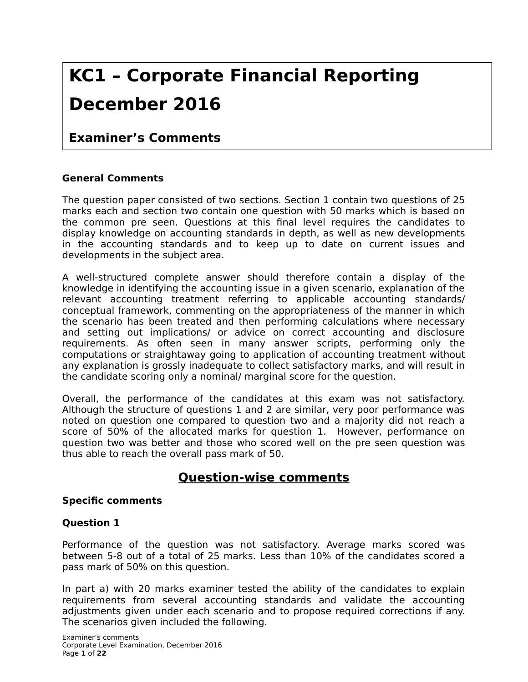# **KC1 – Corporate Financial Reporting December 2016**

## **Examiner's Comments**

#### **General Comments**

The question paper consisted of two sections. Section 1 contain two questions of 25 marks each and section two contain one question with 50 marks which is based on the common pre seen. Questions at this final level requires the candidates to display knowledge on accounting standards in depth, as well as new developments in the accounting standards and to keep up to date on current issues and developments in the subject area.

A well-structured complete answer should therefore contain a display of the knowledge in identifying the accounting issue in a given scenario, explanation of the relevant accounting treatment referring to applicable accounting standards/ conceptual framework, commenting on the appropriateness of the manner in which the scenario has been treated and then performing calculations where necessary and setting out implications/ or advice on correct accounting and disclosure requirements. As often seen in many answer scripts, performing only the computations or straightaway going to application of accounting treatment without any explanation is grossly inadequate to collect satisfactory marks, and will result in the candidate scoring only a nominal/ marginal score for the question.

Overall, the performance of the candidates at this exam was not satisfactory. Although the structure of questions 1 and 2 are similar, very poor performance was noted on question one compared to question two and a majority did not reach a score of 50% of the allocated marks for question 1. However, performance on question two was better and those who scored well on the pre seen question was thus able to reach the overall pass mark of 50.

## **Question-wise comments**

#### **Specific comments**

#### **Question 1**

Performance of the question was not satisfactory. Average marks scored was between 5-8 out of a total of 25 marks. Less than 10% of the candidates scored a pass mark of 50% on this question.

In part a) with 20 marks examiner tested the ability of the candidates to explain requirements from several accounting standards and validate the accounting adjustments given under each scenario and to propose required corrections if any. The scenarios given included the following.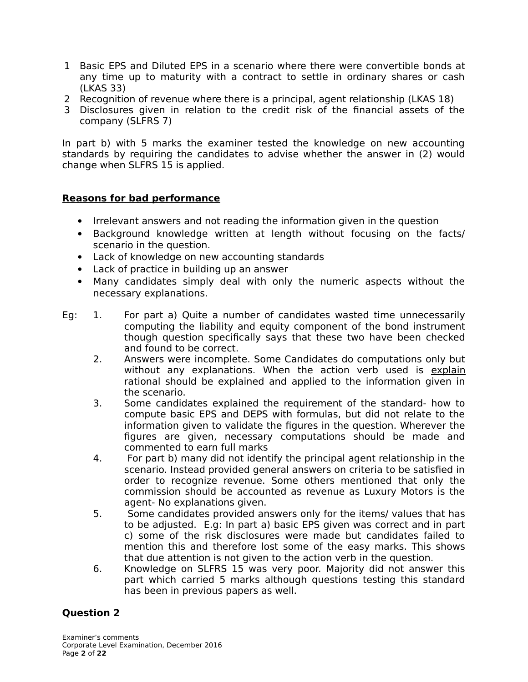- 1 Basic EPS and Diluted EPS in a scenario where there were convertible bonds at any time up to maturity with a contract to settle in ordinary shares or cash (LKAS 33)
- 2 Recognition of revenue where there is a principal, agent relationship (LKAS 18)
- 3 Disclosures given in relation to the credit risk of the financial assets of the company (SLFRS 7)

In part b) with 5 marks the examiner tested the knowledge on new accounting standards by requiring the candidates to advise whether the answer in (2) would change when SLFRS 15 is applied.

#### **Reasons for bad performance**

- Irrelevant answers and not reading the information given in the question
- Background knowledge written at length without focusing on the facts/ scenario in the question.
- Lack of knowledge on new accounting standards
- Lack of practice in building up an answer
- Many candidates simply deal with only the numeric aspects without the necessary explanations.
- Eg: 1. For part a) Quite a number of candidates wasted time unnecessarily computing the liability and equity component of the bond instrument though question specifically says that these two have been checked and found to be correct.
	- 2. Answers were incomplete. Some Candidates do computations only but without any explanations. When the action verb used is explain rational should be explained and applied to the information given in the scenario.
	- 3. Some candidates explained the requirement of the standard- how to compute basic EPS and DEPS with formulas, but did not relate to the information given to validate the figures in the question. Wherever the figures are given, necessary computations should be made and commented to earn full marks
	- 4. For part b) many did not identify the principal agent relationship in the scenario. Instead provided general answers on criteria to be satisfied in order to recognize revenue. Some others mentioned that only the commission should be accounted as revenue as Luxury Motors is the agent- No explanations given.
	- 5. Some candidates provided answers only for the items/ values that has to be adjusted. E.g: In part a) basic EPS given was correct and in part c) some of the risk disclosures were made but candidates failed to mention this and therefore lost some of the easy marks. This shows that due attention is not given to the action verb in the question.
	- 6. Knowledge on SLFRS 15 was very poor. Majority did not answer this part which carried 5 marks although questions testing this standard has been in previous papers as well.

#### **Question 2**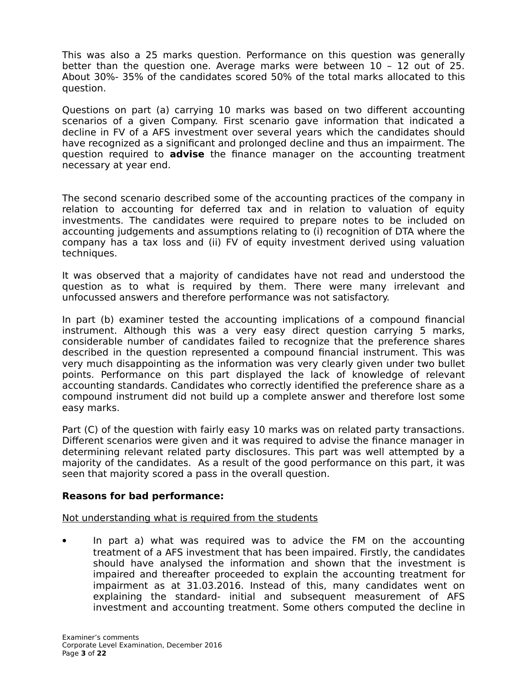This was also a 25 marks question. Performance on this question was generally better than the question one. Average marks were between 10 – 12 out of 25. About 30%- 35% of the candidates scored 50% of the total marks allocated to this question.

Questions on part (a) carrying 10 marks was based on two different accounting scenarios of a given Company. First scenario gave information that indicated a decline in FV of a AFS investment over several years which the candidates should have recognized as a significant and prolonged decline and thus an impairment. The question required to **advise** the finance manager on the accounting treatment necessary at year end.

The second scenario described some of the accounting practices of the company in relation to accounting for deferred tax and in relation to valuation of equity investments. The candidates were required to prepare notes to be included on accounting judgements and assumptions relating to (i) recognition of DTA where the company has a tax loss and (ii) FV of equity investment derived using valuation techniques.

It was observed that a majority of candidates have not read and understood the question as to what is required by them. There were many irrelevant and unfocussed answers and therefore performance was not satisfactory.

In part (b) examiner tested the accounting implications of a compound financial instrument. Although this was a very easy direct question carrying 5 marks, considerable number of candidates failed to recognize that the preference shares described in the question represented a compound financial instrument. This was very much disappointing as the information was very clearly given under two bullet points. Performance on this part displayed the lack of knowledge of relevant accounting standards. Candidates who correctly identified the preference share as a compound instrument did not build up a complete answer and therefore lost some easy marks.

Part (C) of the question with fairly easy 10 marks was on related party transactions. Different scenarios were given and it was required to advise the finance manager in determining relevant related party disclosures. This part was well attempted by a majority of the candidates. As a result of the good performance on this part, it was seen that majority scored a pass in the overall question.

#### **Reasons for bad performance:**

#### Not understanding what is required from the students

 In part a) what was required was to advice the FM on the accounting treatment of a AFS investment that has been impaired. Firstly, the candidates should have analysed the information and shown that the investment is impaired and thereafter proceeded to explain the accounting treatment for impairment as at 31.03.2016. Instead of this, many candidates went on explaining the standard- initial and subsequent measurement of AFS investment and accounting treatment. Some others computed the decline in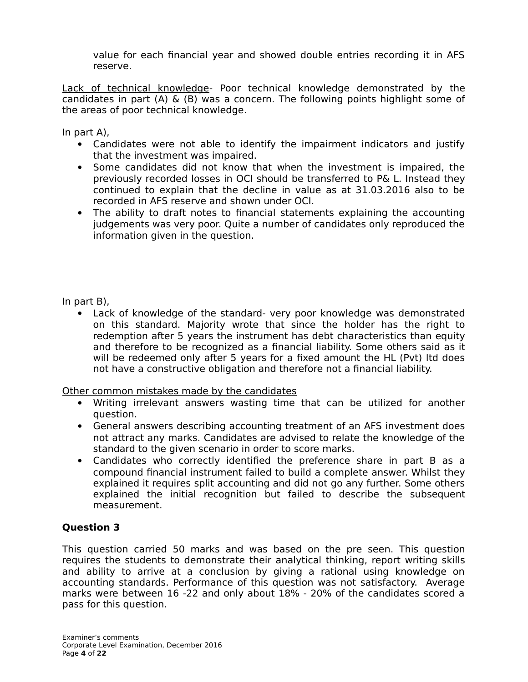value for each financial year and showed double entries recording it in AFS reserve.

Lack of technical knowledge- Poor technical knowledge demonstrated by the candidates in part (A) & (B) was a concern. The following points highlight some of the areas of poor technical knowledge.

In part A),

- Candidates were not able to identify the impairment indicators and justify that the investment was impaired.
- Some candidates did not know that when the investment is impaired, the previously recorded losses in OCI should be transferred to P& L. Instead they continued to explain that the decline in value as at 31.03.2016 also to be recorded in AFS reserve and shown under OCI.
- The ability to draft notes to financial statements explaining the accounting judgements was very poor. Quite a number of candidates only reproduced the information given in the question.

In part B),

 Lack of knowledge of the standard- very poor knowledge was demonstrated on this standard. Majority wrote that since the holder has the right to redemption after 5 years the instrument has debt characteristics than equity and therefore to be recognized as a financial liability. Some others said as it will be redeemed only after 5 years for a fixed amount the HL (Pvt) ltd does not have a constructive obligation and therefore not a financial liability.

Other common mistakes made by the candidates

- Writing irrelevant answers wasting time that can be utilized for another question.
- General answers describing accounting treatment of an AFS investment does not attract any marks. Candidates are advised to relate the knowledge of the standard to the given scenario in order to score marks.
- Candidates who correctly identified the preference share in part B as a compound financial instrument failed to build a complete answer. Whilst they explained it requires split accounting and did not go any further. Some others explained the initial recognition but failed to describe the subsequent measurement.

#### **Question 3**

This question carried 50 marks and was based on the pre seen. This question requires the students to demonstrate their analytical thinking, report writing skills and ability to arrive at a conclusion by giving a rational using knowledge on accounting standards. Performance of this question was not satisfactory. Average marks were between 16 -22 and only about 18% - 20% of the candidates scored a pass for this question.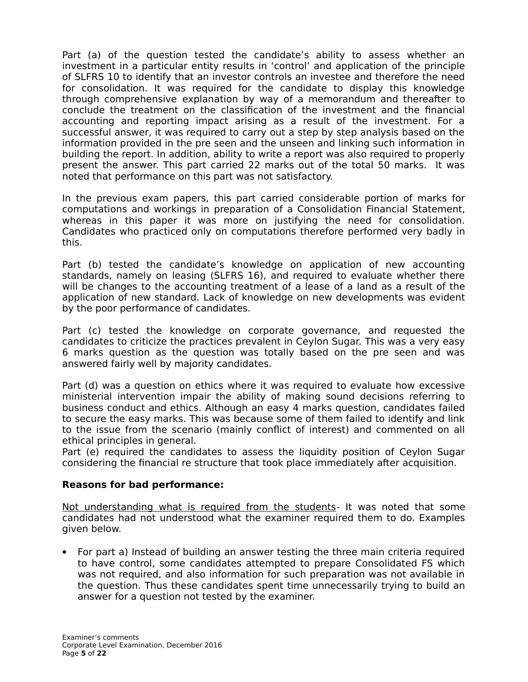Part (a) of the question tested the candidate's ability to assess whether an investment in a particular entity results in 'control' and application of the principle of SLFRS 10 to identify that an investor controls an investee and therefore the need for consolidation. It was required for the candidate to display this knowledge through comprehensive explanation by way of a memorandum and thereafter to conclude the treatment on the classification of the investment and the financial accounting and reporting impact arising as a result of the investment. For a successful answer, it was required to carry out a step by step analysis based on the information provided in the pre seen and the unseen and linking such information in building the report. In addition, ability to write a report was also required to properly present the answer. This part carried 22 marks out of the total 50 marks. It was noted that performance on this part was not satisfactory.

In the previous exam papers, this part carried considerable portion of marks for computations and workings in preparation of a Consolidation Financial Statement, whereas in this paper it was more on justifying the need for consolidation. Candidates who practiced only on computations therefore performed very badly in this.

Part (b) tested the candidate's knowledge on application of new accounting standards, namely on leasing (SLFRS 16), and required to evaluate whether there will be changes to the accounting treatment of a lease of a land as a result of the application of new standard. Lack of knowledge on new developments was evident by the poor performance of candidates.

Part (c) tested the knowledge on corporate governance, and requested the candidates to criticize the practices prevalent in Ceylon Sugar. This was a very easy 6 marks question as the question was totally based on the pre seen and was answered fairly well by majority candidates.

Part (d) was a question on ethics where it was required to evaluate how excessive ministerial intervention impair the ability of making sound decisions referring to business conduct and ethics. Although an easy 4 marks question, candidates failed to secure the easy marks. This was because some of them failed to identify and link to the issue from the scenario (mainly conflict of interest) and commented on all ethical principles in general.

Part (e) required the candidates to assess the liquidity position of Ceylon Sugar considering the financial re structure that took place immediately after acquisition.

#### **Reasons for bad performance:**

Not understanding what is required from the students- It was noted that some candidates had not understood what the examiner required them to do. Examples given below.

 For part a) Instead of building an answer testing the three main criteria required to have control, some candidates attempted to prepare Consolidated FS which was not required, and also information for such preparation was not available in the question. Thus these candidates spent time unnecessarily trying to build an answer for a question not tested by the examiner.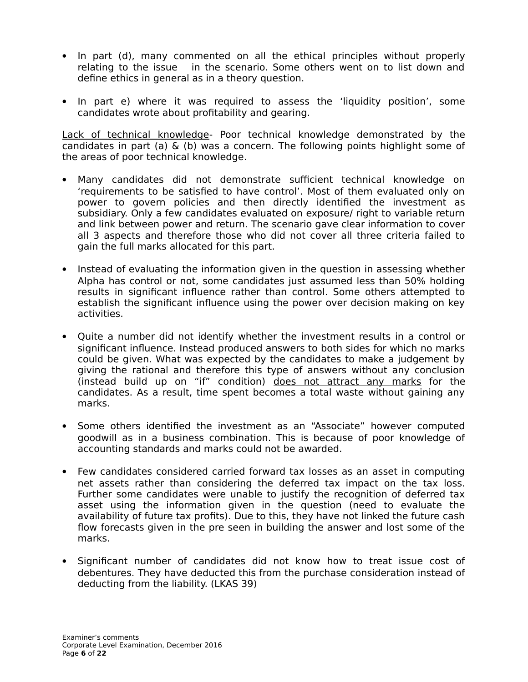- In part (d), many commented on all the ethical principles without properly relating to the issue in the scenario. Some others went on to list down and define ethics in general as in a theory question.
- In part e) where it was required to assess the 'liquidity position', some candidates wrote about profitability and gearing.

Lack of technical knowledge- Poor technical knowledge demonstrated by the candidates in part (a) & (b) was a concern. The following points highlight some of the areas of poor technical knowledge.

- Many candidates did not demonstrate sufficient technical knowledge on 'requirements to be satisfied to have control'. Most of them evaluated only on power to govern policies and then directly identified the investment as subsidiary. Only a few candidates evaluated on exposure/ right to variable return and link between power and return. The scenario gave clear information to cover all 3 aspects and therefore those who did not cover all three criteria failed to gain the full marks allocated for this part.
- Instead of evaluating the information given in the question in assessing whether Alpha has control or not, some candidates just assumed less than 50% holding results in significant influence rather than control. Some others attempted to establish the significant influence using the power over decision making on key activities.
- Quite a number did not identify whether the investment results in a control or significant influence. Instead produced answers to both sides for which no marks could be given. What was expected by the candidates to make a judgement by giving the rational and therefore this type of answers without any conclusion (instead build up on "if" condition) does not attract any marks for the candidates. As a result, time spent becomes a total waste without gaining any marks.
- Some others identified the investment as an "Associate" however computed goodwill as in a business combination. This is because of poor knowledge of accounting standards and marks could not be awarded.
- Few candidates considered carried forward tax losses as an asset in computing net assets rather than considering the deferred tax impact on the tax loss. Further some candidates were unable to justify the recognition of deferred tax asset using the information given in the question (need to evaluate the availability of future tax profits). Due to this, they have not linked the future cash flow forecasts given in the pre seen in building the answer and lost some of the marks.
- Significant number of candidates did not know how to treat issue cost of debentures. They have deducted this from the purchase consideration instead of deducting from the liability. (LKAS 39)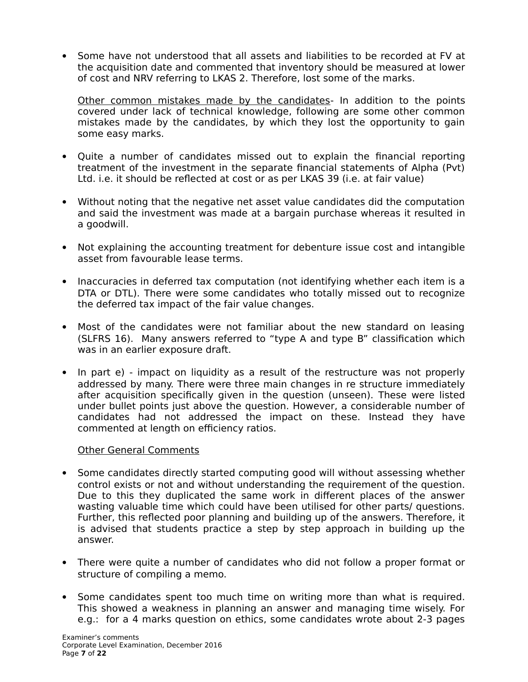Some have not understood that all assets and liabilities to be recorded at FV at the acquisition date and commented that inventory should be measured at lower of cost and NRV referring to LKAS 2. Therefore, lost some of the marks.

Other common mistakes made by the candidates- In addition to the points covered under lack of technical knowledge, following are some other common mistakes made by the candidates, by which they lost the opportunity to gain some easy marks.

- Quite a number of candidates missed out to explain the financial reporting treatment of the investment in the separate financial statements of Alpha (Pvt) Ltd. i.e. it should be reflected at cost or as per LKAS 39 (i.e. at fair value)
- Without noting that the negative net asset value candidates did the computation and said the investment was made at a bargain purchase whereas it resulted in a goodwill.
- Not explaining the accounting treatment for debenture issue cost and intangible asset from favourable lease terms.
- Inaccuracies in deferred tax computation (not identifying whether each item is a DTA or DTL). There were some candidates who totally missed out to recognize the deferred tax impact of the fair value changes.
- Most of the candidates were not familiar about the new standard on leasing (SLFRS 16). Many answers referred to "type A and type B" classification which was in an earlier exposure draft.
- In part e) impact on liquidity as a result of the restructure was not properly addressed by many. There were three main changes in re structure immediately after acquisition specifically given in the question (unseen). These were listed under bullet points just above the question. However, a considerable number of candidates had not addressed the impact on these. Instead they have commented at length on efficiency ratios.

#### Other General Comments

- Some candidates directly started computing good will without assessing whether control exists or not and without understanding the requirement of the question. Due to this they duplicated the same work in different places of the answer wasting valuable time which could have been utilised for other parts/ questions. Further, this reflected poor planning and building up of the answers. Therefore, it is advised that students practice a step by step approach in building up the answer.
- There were quite a number of candidates who did not follow a proper format or structure of compiling a memo.
- Some candidates spent too much time on writing more than what is required. This showed a weakness in planning an answer and managing time wisely. For e.g.: for a 4 marks question on ethics, some candidates wrote about 2-3 pages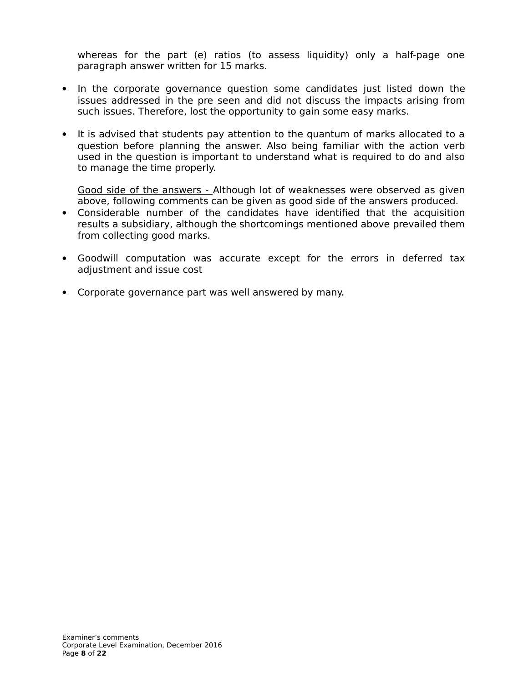whereas for the part (e) ratios (to assess liquidity) only a half-page one paragraph answer written for 15 marks.

- In the corporate governance question some candidates just listed down the issues addressed in the pre seen and did not discuss the impacts arising from such issues. Therefore, lost the opportunity to gain some easy marks.
- It is advised that students pay attention to the quantum of marks allocated to a question before planning the answer. Also being familiar with the action verb used in the question is important to understand what is required to do and also to manage the time properly.

Good side of the answers - Although lot of weaknesses were observed as given above, following comments can be given as good side of the answers produced.

- Considerable number of the candidates have identified that the acquisition results a subsidiary, although the shortcomings mentioned above prevailed them from collecting good marks.
- Goodwill computation was accurate except for the errors in deferred tax adjustment and issue cost
- Corporate governance part was well answered by many.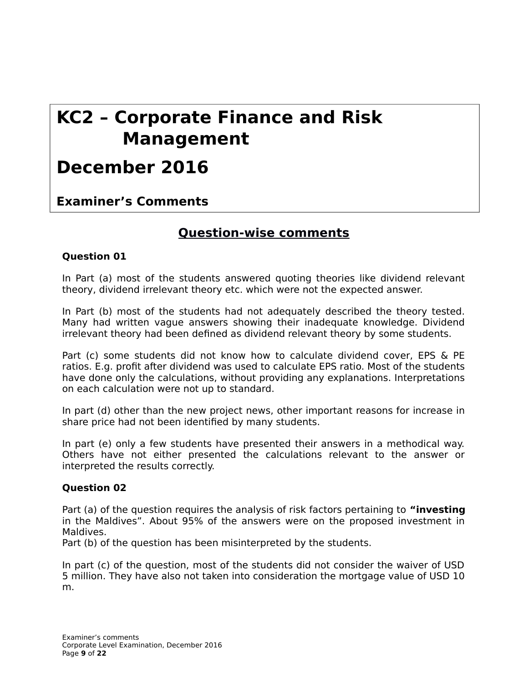# **KC2 – Corporate Finance and Risk Management**

# **December 2016**

**Examiner's Comments**

## **Question-wise comments**

#### **Question 01**

In Part (a) most of the students answered quoting theories like dividend relevant theory, dividend irrelevant theory etc. which were not the expected answer.

In Part (b) most of the students had not adequately described the theory tested. Many had written vague answers showing their inadequate knowledge. Dividend irrelevant theory had been defined as dividend relevant theory by some students.

Part (c) some students did not know how to calculate dividend cover, EPS & PE ratios. E.g. profit after dividend was used to calculate EPS ratio. Most of the students have done only the calculations, without providing any explanations. Interpretations on each calculation were not up to standard.

In part (d) other than the new project news, other important reasons for increase in share price had not been identified by many students.

In part (e) only a few students have presented their answers in a methodical way. Others have not either presented the calculations relevant to the answer or interpreted the results correctly.

#### **Question 02**

Part (a) of the question requires the analysis of risk factors pertaining to **"investing** in the Maldives". About 95% of the answers were on the proposed investment in Maldives.

Part (b) of the question has been misinterpreted by the students.

In part (c) of the question, most of the students did not consider the waiver of USD 5 million. They have also not taken into consideration the mortgage value of USD 10 m.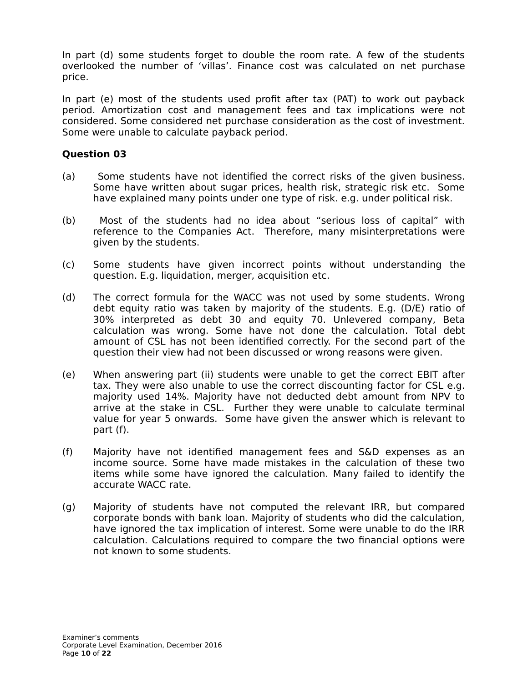In part (d) some students forget to double the room rate. A few of the students overlooked the number of 'villas'. Finance cost was calculated on net purchase price.

In part (e) most of the students used profit after tax (PAT) to work out payback period. Amortization cost and management fees and tax implications were not considered. Some considered net purchase consideration as the cost of investment. Some were unable to calculate payback period.

#### **Question 03**

- (a) Some students have not identified the correct risks of the given business. Some have written about sugar prices, health risk, strategic risk etc. Some have explained many points under one type of risk. e.g. under political risk.
- (b) Most of the students had no idea about "serious loss of capital" with reference to the Companies Act. Therefore, many misinterpretations were given by the students.
- (c) Some students have given incorrect points without understanding the question. E.g. liquidation, merger, acquisition etc.
- (d) The correct formula for the WACC was not used by some students. Wrong debt equity ratio was taken by majority of the students. E.g. (D/E) ratio of 30% interpreted as debt 30 and equity 70. Unlevered company, Beta calculation was wrong. Some have not done the calculation. Total debt amount of CSL has not been identified correctly. For the second part of the question their view had not been discussed or wrong reasons were given.
- (e) When answering part (ii) students were unable to get the correct EBIT after tax. They were also unable to use the correct discounting factor for CSL e.g. majority used 14%. Majority have not deducted debt amount from NPV to arrive at the stake in CSL. Further they were unable to calculate terminal value for year 5 onwards. Some have given the answer which is relevant to part (f).
- (f) Majority have not identified management fees and S&D expenses as an income source. Some have made mistakes in the calculation of these two items while some have ignored the calculation. Many failed to identify the accurate WACC rate.
- (g) Majority of students have not computed the relevant IRR, but compared corporate bonds with bank loan. Majority of students who did the calculation, have ignored the tax implication of interest. Some were unable to do the IRR calculation. Calculations required to compare the two financial options were not known to some students.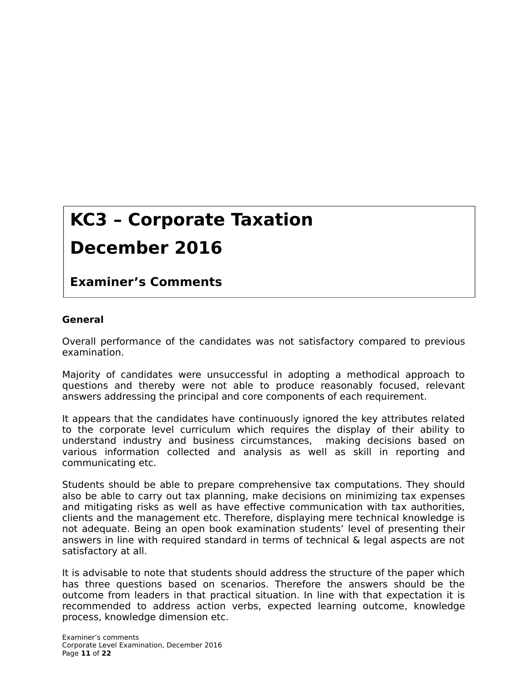# **KC3 – Corporate Taxation**

# **December 2016**

## **Examiner's Comments**

#### **General**

Overall performance of the candidates was not satisfactory compared to previous examination.

Majority of candidates were unsuccessful in adopting a methodical approach to questions and thereby were not able to produce reasonably focused, relevant answers addressing the principal and core components of each requirement.

It appears that the candidates have continuously ignored the key attributes related to the corporate level curriculum which requires the display of their ability to understand industry and business circumstances, making decisions based on various information collected and analysis as well as skill in reporting and communicating etc.

Students should be able to prepare comprehensive tax computations. They should also be able to carry out tax planning, make decisions on minimizing tax expenses and mitigating risks as well as have effective communication with tax authorities, clients and the management etc. Therefore, displaying mere technical knowledge is not adequate. Being an open book examination students' level of presenting their answers in line with required standard in terms of technical & legal aspects are not satisfactory at all.

It is advisable to note that students should address the structure of the paper which has three questions based on scenarios. Therefore the answers should be the outcome from leaders in that practical situation. In line with that expectation it is recommended to address action verbs, expected learning outcome, knowledge process, knowledge dimension etc.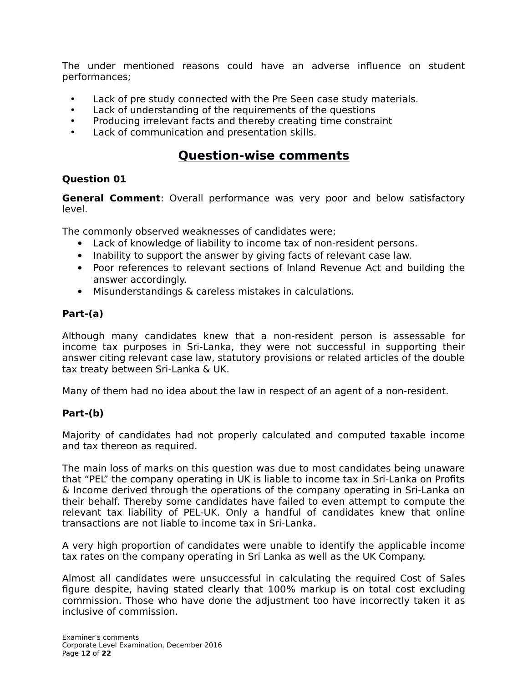The under mentioned reasons could have an adverse influence on student performances;

- Lack of pre study connected with the Pre Seen case study materials.
- Lack of understanding of the requirements of the questions
- Producing irrelevant facts and thereby creating time constraint
- Lack of communication and presentation skills.

### **Question-wise comments**

#### **Question 01**

**General Comment**: Overall performance was very poor and below satisfactory level.

The commonly observed weaknesses of candidates were;

- Lack of knowledge of liability to income tax of non-resident persons.
- Inability to support the answer by giving facts of relevant case law.
- Poor references to relevant sections of Inland Revenue Act and building the answer accordingly.
- Misunderstandings & careless mistakes in calculations.

#### **Part-(a)**

Although many candidates knew that a non-resident person is assessable for income tax purposes in Sri-Lanka, they were not successful in supporting their answer citing relevant case law, statutory provisions or related articles of the double tax treaty between Sri-Lanka & UK.

Many of them had no idea about the law in respect of an agent of a non-resident.

#### **Part-(b)**

Majority of candidates had not properly calculated and computed taxable income and tax thereon as required.

The main loss of marks on this question was due to most candidates being unaware that "PEL" the company operating in UK is liable to income tax in Sri-Lanka on Profits & Income derived through the operations of the company operating in Sri-Lanka on their behalf. Thereby some candidates have failed to even attempt to compute the relevant tax liability of PEL-UK. Only a handful of candidates knew that online transactions are not liable to income tax in Sri-Lanka.

A very high proportion of candidates were unable to identify the applicable income tax rates on the company operating in Sri Lanka as well as the UK Company.

Almost all candidates were unsuccessful in calculating the required Cost of Sales figure despite, having stated clearly that 100% markup is on total cost excluding commission. Those who have done the adjustment too have incorrectly taken it as inclusive of commission.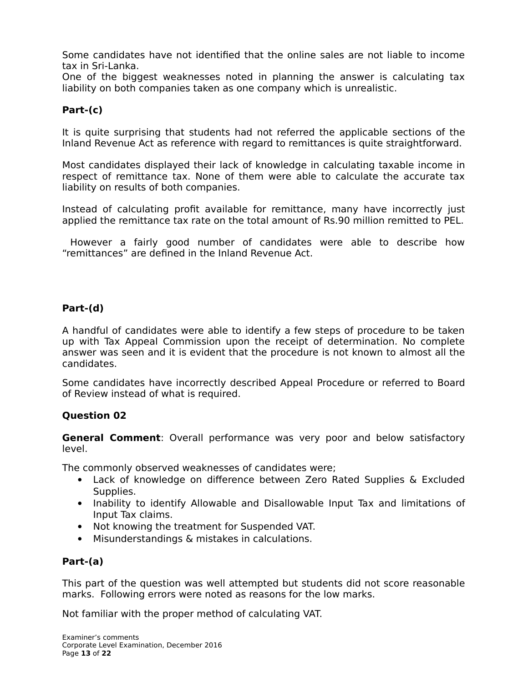Some candidates have not identified that the online sales are not liable to income tax in Sri-Lanka.

One of the biggest weaknesses noted in planning the answer is calculating tax liability on both companies taken as one company which is unrealistic.

#### **Part-(c)**

It is quite surprising that students had not referred the applicable sections of the Inland Revenue Act as reference with regard to remittances is quite straightforward.

Most candidates displayed their lack of knowledge in calculating taxable income in respect of remittance tax. None of them were able to calculate the accurate tax liability on results of both companies.

Instead of calculating profit available for remittance, many have incorrectly just applied the remittance tax rate on the total amount of Rs.90 million remitted to PEL.

 However a fairly good number of candidates were able to describe how "remittances" are defined in the Inland Revenue Act.

#### **Part-(d)**

A handful of candidates were able to identify a few steps of procedure to be taken up with Tax Appeal Commission upon the receipt of determination. No complete answer was seen and it is evident that the procedure is not known to almost all the candidates.

Some candidates have incorrectly described Appeal Procedure or referred to Board of Review instead of what is required.

#### **Question 02**

**General Comment**: Overall performance was very poor and below satisfactory level.

The commonly observed weaknesses of candidates were;

- Lack of knowledge on difference between Zero Rated Supplies & Excluded Supplies.
- Inability to identify Allowable and Disallowable Input Tax and limitations of Input Tax claims.
- Not knowing the treatment for Suspended VAT.
- Misunderstandings & mistakes in calculations.

#### **Part-(a)**

This part of the question was well attempted but students did not score reasonable marks. Following errors were noted as reasons for the low marks.

Not familiar with the proper method of calculating VAT.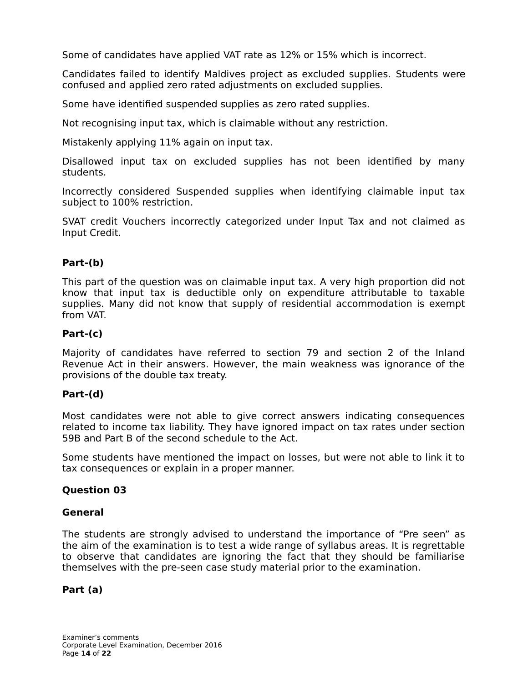Some of candidates have applied VAT rate as 12% or 15% which is incorrect.

Candidates failed to identify Maldives project as excluded supplies. Students were confused and applied zero rated adjustments on excluded supplies.

Some have identified suspended supplies as zero rated supplies.

Not recognising input tax, which is claimable without any restriction.

Mistakenly applying 11% again on input tax.

Disallowed input tax on excluded supplies has not been identified by many students.

Incorrectly considered Suspended supplies when identifying claimable input tax subject to 100% restriction.

SVAT credit Vouchers incorrectly categorized under Input Tax and not claimed as Input Credit.

#### **Part-(b)**

This part of the question was on claimable input tax. A very high proportion did not know that input tax is deductible only on expenditure attributable to taxable supplies. Many did not know that supply of residential accommodation is exempt from VAT.

#### **Part-(c)**

Majority of candidates have referred to section 79 and section 2 of the Inland Revenue Act in their answers. However, the main weakness was ignorance of the provisions of the double tax treaty.

#### **Part-(d)**

Most candidates were not able to give correct answers indicating consequences related to income tax liability. They have ignored impact on tax rates under section 59B and Part B of the second schedule to the Act.

Some students have mentioned the impact on losses, but were not able to link it to tax consequences or explain in a proper manner.

#### **Question 03**

#### **General**

The students are strongly advised to understand the importance of "Pre seen" as the aim of the examination is to test a wide range of syllabus areas. It is regrettable to observe that candidates are ignoring the fact that they should be familiarise themselves with the pre-seen case study material prior to the examination.

#### **Part (a)**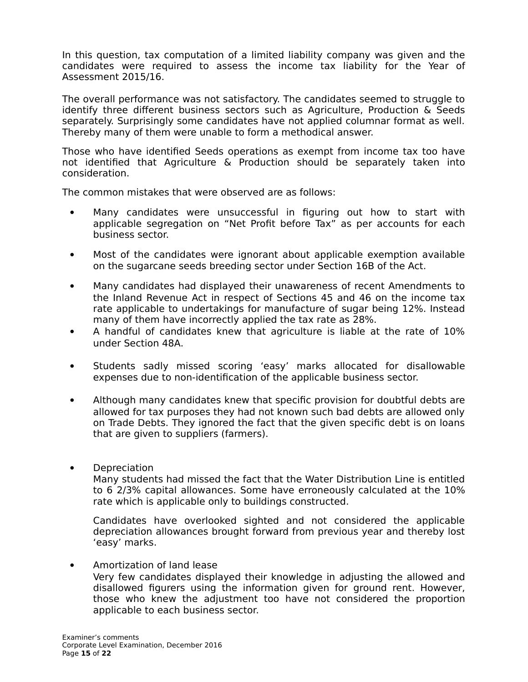In this question, tax computation of a limited liability company was given and the candidates were required to assess the income tax liability for the Year of Assessment 2015/16.

The overall performance was not satisfactory. The candidates seemed to struggle to identify three different business sectors such as Agriculture, Production & Seeds separately. Surprisingly some candidates have not applied columnar format as well. Thereby many of them were unable to form a methodical answer.

Those who have identified Seeds operations as exempt from income tax too have not identified that Agriculture & Production should be separately taken into consideration.

The common mistakes that were observed are as follows:

- Many candidates were unsuccessful in figuring out how to start with applicable segregation on "Net Profit before Tax" as per accounts for each business sector.
- Most of the candidates were ignorant about applicable exemption available on the sugarcane seeds breeding sector under Section 16B of the Act.
- Many candidates had displayed their unawareness of recent Amendments to the Inland Revenue Act in respect of Sections 45 and 46 on the income tax rate applicable to undertakings for manufacture of sugar being 12%. Instead many of them have incorrectly applied the tax rate as 28%.
- A handful of candidates knew that agriculture is liable at the rate of 10% under Section 48A.
- Students sadly missed scoring 'easy' marks allocated for disallowable expenses due to non-identification of the applicable business sector.
- Although many candidates knew that specific provision for doubtful debts are allowed for tax purposes they had not known such bad debts are allowed only on Trade Debts. They ignored the fact that the given specific debt is on loans that are given to suppliers (farmers).
- **Depreciation**

Many students had missed the fact that the Water Distribution Line is entitled to 6 2/3% capital allowances. Some have erroneously calculated at the 10% rate which is applicable only to buildings constructed.

Candidates have overlooked sighted and not considered the applicable depreciation allowances brought forward from previous year and thereby lost 'easy' marks.

 Amortization of land lease Very few candidates displayed their knowledge in adjusting the allowed and disallowed figurers using the information given for ground rent. However, those who knew the adjustment too have not considered the proportion applicable to each business sector.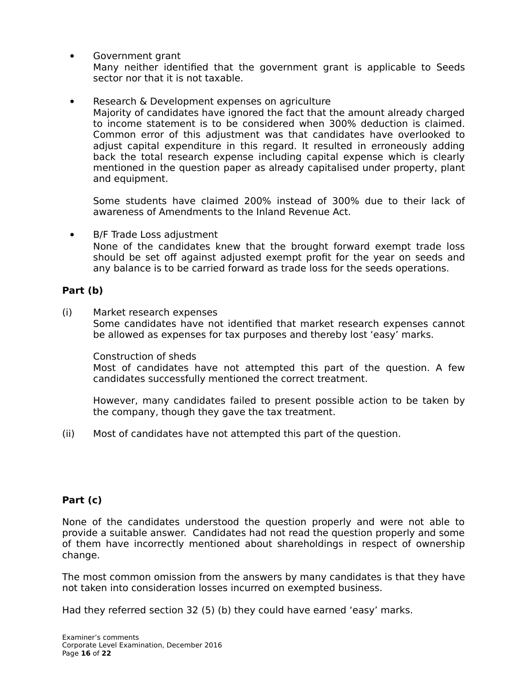- Government grant Many neither identified that the government grant is applicable to Seeds sector nor that it is not taxable.
- Research & Development expenses on agriculture

Majority of candidates have ignored the fact that the amount already charged to income statement is to be considered when 300% deduction is claimed. Common error of this adjustment was that candidates have overlooked to adjust capital expenditure in this regard. It resulted in erroneously adding back the total research expense including capital expense which is clearly mentioned in the question paper as already capitalised under property, plant and equipment.

Some students have claimed 200% instead of 300% due to their lack of awareness of Amendments to the Inland Revenue Act.

 B/F Trade Loss adjustment None of the candidates knew that the brought forward exempt trade loss should be set off against adjusted exempt profit for the year on seeds and any balance is to be carried forward as trade loss for the seeds operations.

#### **Part (b)**

(i) Market research expenses Some candidates have not identified that market research expenses cannot be allowed as expenses for tax purposes and thereby lost 'easy' marks.

Construction of sheds

Most of candidates have not attempted this part of the question. A few candidates successfully mentioned the correct treatment.

However, many candidates failed to present possible action to be taken by the company, though they gave the tax treatment.

(ii) Most of candidates have not attempted this part of the question.

#### **Part (c)**

None of the candidates understood the question properly and were not able to provide a suitable answer. Candidates had not read the question properly and some of them have incorrectly mentioned about shareholdings in respect of ownership change.

The most common omission from the answers by many candidates is that they have not taken into consideration losses incurred on exempted business.

Had they referred section 32 (5) (b) they could have earned 'easy' marks.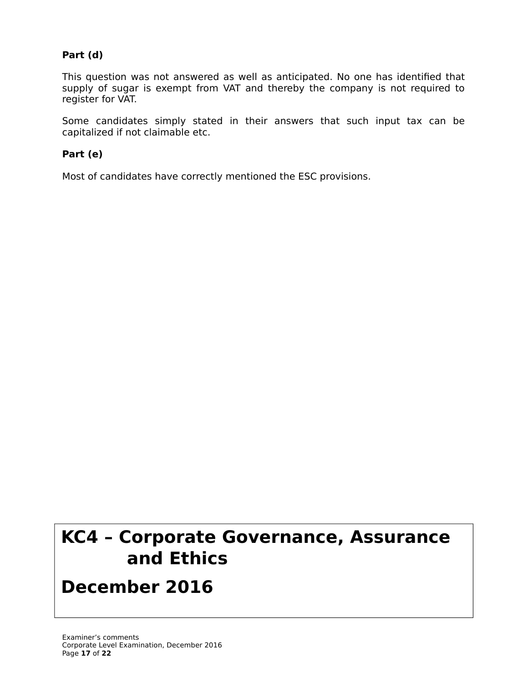#### **Part (d)**

This question was not answered as well as anticipated. No one has identified that supply of sugar is exempt from VAT and thereby the company is not required to register for VAT.

Some candidates simply stated in their answers that such input tax can be capitalized if not claimable etc.

#### **Part (e)**

Most of candidates have correctly mentioned the ESC provisions.

# **KC4 – Corporate Governance, Assurance and Ethics**

## **December 2016**

**Examiner's Comments**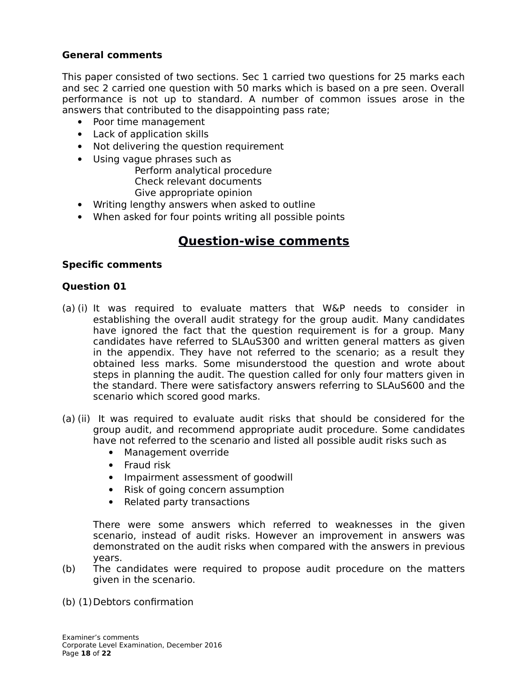#### **General comments**

This paper consisted of two sections. Sec 1 carried two questions for 25 marks each and sec 2 carried one question with 50 marks which is based on a pre seen. Overall performance is not up to standard. A number of common issues arose in the answers that contributed to the disappointing pass rate;

- Poor time management
- Lack of application skills
- Not delivering the question requirement
- Using vague phrases such as

 Perform analytical procedure Check relevant documents Give appropriate opinion

- Writing lengthy answers when asked to outline
- When asked for four points writing all possible points

### **Question-wise comments**

#### **Specific comments**

#### **Question 01**

- (a) (i) It was required to evaluate matters that W&P needs to consider in establishing the overall audit strategy for the group audit. Many candidates have ignored the fact that the question requirement is for a group. Many candidates have referred to SLAuS300 and written general matters as given in the appendix. They have not referred to the scenario; as a result they obtained less marks. Some misunderstood the question and wrote about steps in planning the audit. The question called for only four matters given in the standard. There were satisfactory answers referring to SLAuS600 and the scenario which scored good marks.
- (a) (ii) It was required to evaluate audit risks that should be considered for the group audit, and recommend appropriate audit procedure. Some candidates have not referred to the scenario and listed all possible audit risks such as
	- Management override
	- Fraud risk
	- Impairment assessment of goodwill
	- Risk of going concern assumption
	- Related party transactions

There were some answers which referred to weaknesses in the given scenario, instead of audit risks. However an improvement in answers was demonstrated on the audit risks when compared with the answers in previous years.

- (b) The candidates were required to propose audit procedure on the matters given in the scenario.
- (b) (1) Debtors confirmation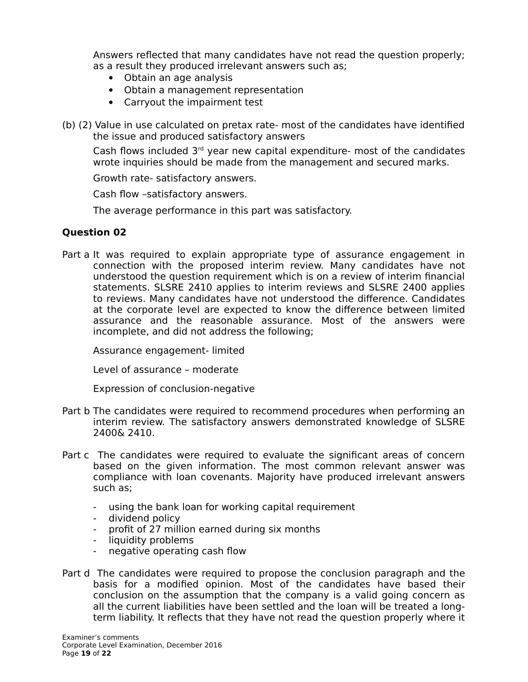Answers reflected that many candidates have not read the question properly; as a result they produced irrelevant answers such as;

- Obtain an age analysis
- Obtain a management representation
- Carryout the impairment test
- (b) (2) Value in use calculated on pretax rate- most of the candidates have identified the issue and produced satisfactory answers

Cash flows included  $3<sup>rd</sup>$  year new capital expenditure- most of the candidates wrote inquiries should be made from the management and secured marks.

Growth rate- satisfactory answers.

Cash flow –satisfactory answers.

The average performance in this part was satisfactory.

#### **Question 02**

Part a It was required to explain appropriate type of assurance engagement in connection with the proposed interim review. Many candidates have not understood the question requirement which is on a review of interim financial statements. SLSRE 2410 applies to interim reviews and SLSRE 2400 applies to reviews. Many candidates have not understood the difference. Candidates at the corporate level are expected to know the difference between limited assurance and the reasonable assurance. Most of the answers were incomplete, and did not address the following;

Assurance engagement- limited

Level of assurance – moderate

Expression of conclusion-negative

- Part b The candidates were required to recommend procedures when performing an interim review. The satisfactory answers demonstrated knowledge of SLSRE 2400& 2410.
- Part c The candidates were required to evaluate the significant areas of concern based on the given information. The most common relevant answer was compliance with loan covenants. Majority have produced irrelevant answers such as;
	- using the bank loan for working capital requirement
	- dividend policy
	- profit of 27 million earned during six months
	- liquidity problems
	- negative operating cash flow
- Part d The candidates were required to propose the conclusion paragraph and the basis for a modified opinion. Most of the candidates have based their conclusion on the assumption that the company is a valid going concern as all the current liabilities have been settled and the loan will be treated a longterm liability. It reflects that they have not read the question properly where it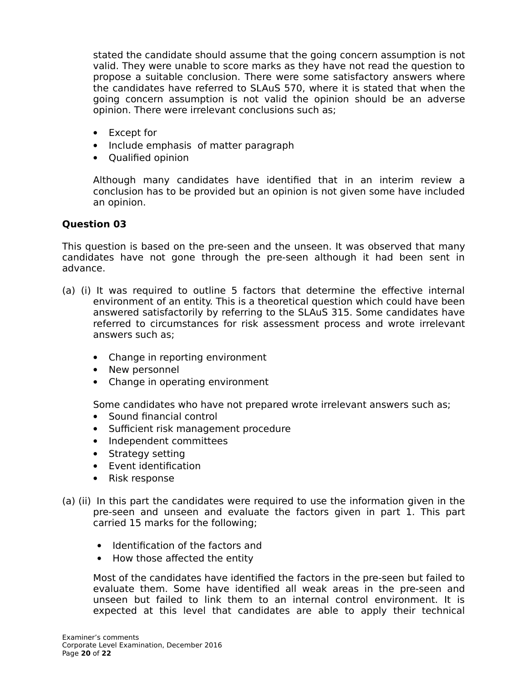stated the candidate should assume that the going concern assumption is not valid. They were unable to score marks as they have not read the question to propose a suitable conclusion. There were some satisfactory answers where the candidates have referred to SLAuS 570, where it is stated that when the going concern assumption is not valid the opinion should be an adverse opinion. There were irrelevant conclusions such as;

- Except for
- Include emphasis of matter paragraph
- Qualified opinion

Although many candidates have identified that in an interim review a conclusion has to be provided but an opinion is not given some have included an opinion.

#### **Question 03**

This question is based on the pre-seen and the unseen. It was observed that many candidates have not gone through the pre-seen although it had been sent in advance.

- (a) (i) It was required to outline 5 factors that determine the effective internal environment of an entity. This is a theoretical question which could have been answered satisfactorily by referring to the SLAuS 315. Some candidates have referred to circumstances for risk assessment process and wrote irrelevant answers such as;
	- Change in reporting environment
	- New personnel
	- Change in operating environment

Some candidates who have not prepared wrote irrelevant answers such as;

- Sound financial control
- Sufficient risk management procedure
- Independent committees
- Strategy setting
- Event identification
- Risk response
- (a) (ii) In this part the candidates were required to use the information given in the pre-seen and unseen and evaluate the factors given in part 1. This part carried 15 marks for the following;
	- Identification of the factors and
	- How those affected the entity

Most of the candidates have identified the factors in the pre-seen but failed to evaluate them. Some have identified all weak areas in the pre-seen and unseen but failed to link them to an internal control environment. It is expected at this level that candidates are able to apply their technical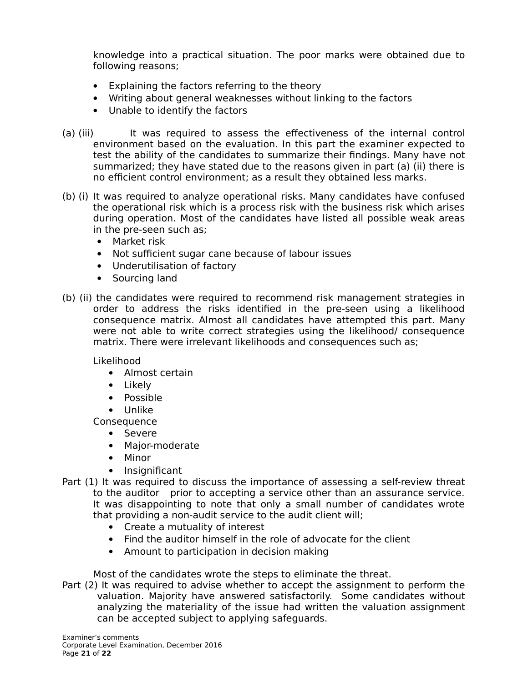knowledge into a practical situation. The poor marks were obtained due to following reasons;

- Explaining the factors referring to the theory
- Writing about general weaknesses without linking to the factors
- Unable to identify the factors
- (a) (iii) It was required to assess the effectiveness of the internal control environment based on the evaluation. In this part the examiner expected to test the ability of the candidates to summarize their findings. Many have not summarized; they have stated due to the reasons given in part (a) (ii) there is no efficient control environment; as a result they obtained less marks.
- (b) (i) It was required to analyze operational risks. Many candidates have confused the operational risk which is a process risk with the business risk which arises during operation. Most of the candidates have listed all possible weak areas in the pre-seen such as;
	- Market risk
	- Not sufficient sugar cane because of labour issues
	- Underutilisation of factory
	- Sourcing land
- (b) (ii) the candidates were required to recommend risk management strategies in order to address the risks identified in the pre-seen using a likelihood consequence matrix. Almost all candidates have attempted this part. Many were not able to write correct strategies using the likelihood/ consequence matrix. There were irrelevant likelihoods and consequences such as;

Likelihood

- Almost certain
- Likely
- Possible
- Unlike
- **Consequence** 
	- Severe
	- Major-moderate
	- Minor
	- Insignificant
- Part (1) It was required to discuss the importance of assessing a self-review threat to the auditor prior to accepting a service other than an assurance service. It was disappointing to note that only a small number of candidates wrote that providing a non-audit service to the audit client will;
	- Create a mutuality of interest
	- Find the auditor himself in the role of advocate for the client
	- Amount to participation in decision making

Most of the candidates wrote the steps to eliminate the threat.

Part (2) It was required to advise whether to accept the assignment to perform the valuation. Majority have answered satisfactorily. Some candidates without analyzing the materiality of the issue had written the valuation assignment can be accepted subject to applying safeguards.